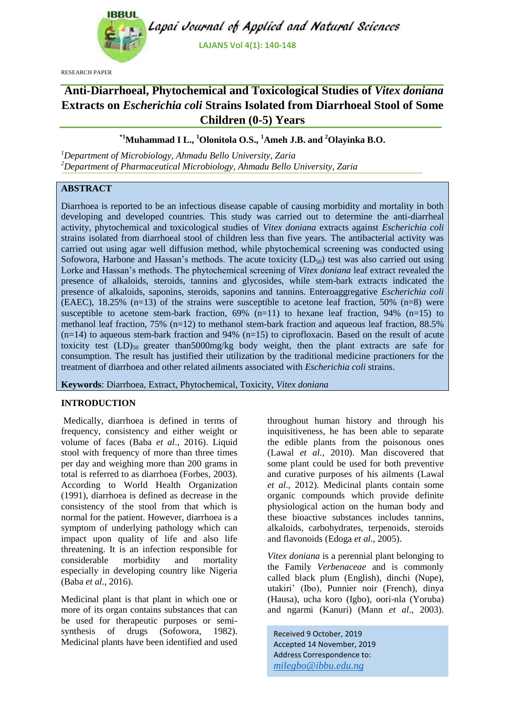

**LAJANS Vol 4(1): 140-148**

RESEARCH PAPER

# **Anti-Diarrhoeal, Phytochemical and Toxicological Studies of** *Vitex doniana* **Extracts on** *Escherichia coli* **Strains Isolated from Diarrhoeal Stool of Some Children (0-5) Years**

# **\*1Muhammad I L., <sup>1</sup>Olonitola O.S., <sup>1</sup>Ameh J.B. and <sup>2</sup>Olayinka B.O.**

*<sup>1</sup>Department of Microbiology, Ahmadu Bello University, Zaria <sup>2</sup>Department of Pharmaceutical Microbiology, Ahmadu Bello University, Zaria*

## **ABSTRACT**

Diarrhoea is reported to be an infectious disease capable of causing morbidity and mortality in both developing and developed countries. This study was carried out to determine the anti-diarrheal activity, phytochemical and toxicological studies of *Vitex doniana* extracts against *Escherichia coli*  strain*s* isolated from diarrhoeal stool of children less than five years. The antibacterial activity was carried out using agar well diffusion method, while phytochemical screening was conducted using Sofowora, Harbone and Hassan's methods. The acute toxicity  $(LD_{50})$  test was also carried out using Lorke and Hassan's methods. The phytochemical screening of *Vitex doniana* leaf extract revealed the presence of alkaloids, steroids, tannins and glycosides, while stem-bark extracts indicated the presence of alkaloids, saponins, steroids, saponins and tannins. Enteroaggregative *Escherichia coli* (EAEC), 18.25% (n=13) of the strains were susceptible to acetone leaf fraction, 50% (n=8) were susceptible to acetone stem-bark fraction,  $69\%$  (n=11) to hexane leaf fraction,  $94\%$  (n=15) to methanol leaf fraction, 75% (n=12) to methanol stem-bark fraction and aqueous leaf fraction, 88.5%  $(n=14)$  to aqueous stem-bark fraction and 94%  $(n=15)$  to ciprofloxacin. Based on the result of acute toxicity test  $(LD)_{50}$  greater than 5000mg/kg body weight, then the plant extracts are safe for consumption. The result has justified their utilization by the traditional medicine practioners for the treatment of diarrhoea and other related ailments associated with *Escherichia coli* strains.

**Keywords**: Diarrhoea, Extract, Phytochemical, Toxicity, *Vitex doniana*

## **INTRODUCTION**

Medically, diarrhoea is defined in terms of frequency, consistency and either weight or volume of faces (Baba *et al*., 2016). Liquid stool with frequency of more than three times per day and weighing more than 200 grams in total is referred to as diarrhoea (Forbes, 2003). According to World Health Organization (1991), diarrhoea is defined as decrease in the consistency of the stool from that which is normal for the patient. However, diarrhoea is a symptom of underlying pathology which can impact upon quality of life and also life threatening. It is an infection responsible for considerable morbidity and mortality especially in developing country like Nigeria (Baba *et al*., 2016).

Medicinal plant is that plant in which one or more of its organ contains substances that can be used for therapeutic purposes or semisynthesis of drugs (Sofowora, 1982). Medicinal plants have been identified and used throughout human history and through his inquisitiveness, he has been able to separate the edible plants from the poisonous ones (Lawal *et al.,* 2010). Man discovered that some plant could be used for both preventive and curative purposes of his ailments (Lawal *et al.,* 2012). Medicinal plants contain some organic compounds which provide definite physiological action on the human body and these bioactive substances includes tannins, alkaloids, carbohydrates, terpenoids, steroids and flavonoids (Edoga *et al*., 2005).

*Vitex doniana* is a perennial plant belonging to the Family *Verbenaceae* and is commonly called black plum (English), dinchi (Nupe), utakiri' (Ibo), Punnier noir (French), dinya (Hausa), ucha koro (Igbo), oori-nla (Yoruba) and ngarmi (Kanuri) (Mann *et al*., 2003).

Received 9 October, 2019 Accepted 14 November, 2019 Address Correspondence to: *milegbo@ibbu.edu.ng*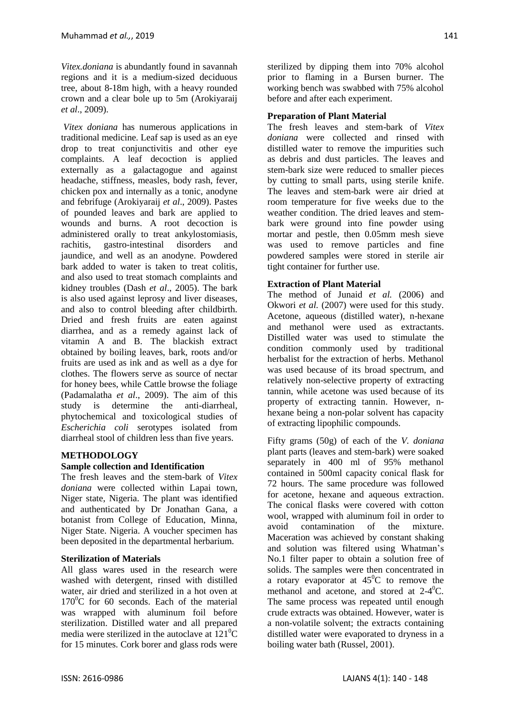*Vitex.doniana* is abundantly found in savannah regions and it is a medium-sized deciduous tree, about 8-18m high, with a heavy rounded crown and a clear bole up to 5m (Arokiyaraij *et al*., 2009).

*Vitex doniana* has numerous applications in traditional medicine. Leaf sap is used as an eye drop to treat conjunctivitis and other eye complaints. A leaf decoction is applied externally as a galactagogue and against headache, stiffness, measles, body rash, fever, chicken pox and internally as a tonic, anodyne and febrifuge (Arokiyaraij *et al*., 2009). Pastes of pounded leaves and bark are applied to wounds and burns. A root decoction is administered orally to treat ankylostomiasis, rachitis, gastro-intestinal disorders and jaundice, and well as an anodyne. Powdered bark added to water is taken to treat colitis, and also used to treat stomach complaints and kidney troubles (Dash *et al*., 2005). The bark is also used against leprosy and liver diseases, and also to control bleeding after childbirth. Dried and fresh fruits are eaten against diarrhea, and as a remedy against lack of vitamin A and B. The blackish extract obtained by boiling leaves, bark, roots and/or fruits are used as ink and as well as a dye for clothes. The flowers serve as source of nectar for honey bees, while Cattle browse the foliage (Padamalatha *et al*., 2009). The aim of this study is determine the anti-diarrheal, phytochemical and toxicological studies of *Escherichia coli* serotypes isolated from diarrheal stool of children less than five years.

## **METHODOLOGY**

#### **Sample collection and Identification**

The fresh leaves and the stem-bark of *Vitex doniana* were collected within Lapai town, Niger state, Nigeria. The plant was identified and authenticated by Dr Jonathan Gana, a botanist from College of Education, Minna, Niger State. Nigeria. A voucher specimen has been deposited in the departmental herbarium.

#### **Sterilization of Materials**

All glass wares used in the research were washed with detergent, rinsed with distilled water, air dried and sterilized in a hot oven at  $170^{\circ}$ C for 60 seconds. Each of the material was wrapped with aluminum foil before sterilization. Distilled water and all prepared media were sterilized in the autoclave at  $121^{\circ}$ C for 15 minutes. Cork borer and glass rods were sterilized by dipping them into 70% alcohol prior to flaming in a Bursen burner. The working bench was swabbed with 75% alcohol before and after each experiment.

## **Preparation of Plant Material**

The fresh leaves and stem-bark of *Vitex doniana* were collected and rinsed with distilled water to remove the impurities such as debris and dust particles. The leaves and stem-bark size were reduced to smaller pieces by cutting to small parts, using sterile knife. The leaves and stem-bark were air dried at room temperature for five weeks due to the weather condition. The dried leaves and stembark were ground into fine powder using mortar and pestle, then 0.05mm mesh sieve was used to remove particles and fine powdered samples were stored in sterile air tight container for further use.

## **Extraction of Plant Material**

The method of Junaid *et al.* (2006) and Okwori *et al.* (2007) were used for this study. Acetone, aqueous (distilled water), n-hexane and methanol were used as extractants. Distilled water was used to stimulate the condition commonly used by traditional herbalist for the extraction of herbs. Methanol was used because of its broad spectrum, and relatively non-selective property of extracting tannin, while acetone was used because of its property of extracting tannin. However, nhexane being a non-polar solvent has capacity of extracting lipophilic compounds.

Fifty grams (50g) of each of the *V. doniana* plant parts (leaves and stem-bark) were soaked separately in 400 ml of 95% methanol contained in 500ml capacity conical flask for 72 hours. The same procedure was followed for acetone, hexane and aqueous extraction. The conical flasks were covered with cotton wool, wrapped with aluminum foil in order to avoid contamination of the mixture. Maceration was achieved by constant shaking and solution was filtered using Whatman's No.1 filter paper to obtain a solution free of solids. The samples were then concentrated in a rotary evaporator at  $45^{\circ}$ C to remove the methanol and acetone, and stored at  $2-4$ <sup>o</sup>C. The same process was repeated until enough crude extracts was obtained. However, water is a non-volatile solvent; the extracts containing distilled water were evaporated to dryness in a boiling water bath (Russel, 2001).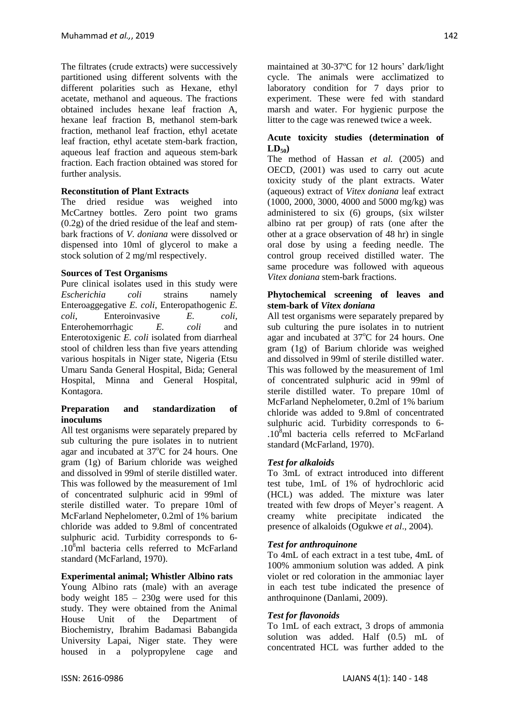The filtrates (crude extracts) were successively partitioned using different solvents with the different polarities such as Hexane, ethyl acetate, methanol and aqueous. The fractions obtained includes hexane leaf fraction A, hexane leaf fraction B, methanol stem-bark fraction, methanol leaf fraction, ethyl acetate leaf fraction, ethyl acetate stem-bark fraction, aqueous leaf fraction and aqueous stem-bark fraction. Each fraction obtained was stored for further analysis.

## **Reconstitution of Plant Extracts**

The dried residue was weighed into McCartney bottles. Zero point two grams  $(0.2g)$  of the dried residue of the leaf and stembark fractions of *V. doniana* were dissolved or dispensed into 10ml of glycerol to make a stock solution of 2 mg/ml respectively.

## **Sources of Test Organisms**

Pure clinical isolates used in this study were *Escherichia coli* strains namely Enteroaggegative *E. coli*, Enteropathogenic *E. coli*, Enteroinvasive *E. coli,* Enterohemorrhagic *E. coli* and Enterotoxigenic *E. coli* isolated from diarrheal stool of children less than five years attending various hospitals in Niger state, Nigeria (Etsu Umaru Sanda General Hospital, Bida; General Hospital, Minna and General Hospital, Kontagora.

#### **Preparation and standardization of inoculums**

All test organisms were separately prepared by sub culturing the pure isolates in to nutrient agar and incubated at  $37^{\circ}$ C for 24 hours. One gram (1g) of Barium chloride was weighed and dissolved in 99ml of sterile distilled water. This was followed by the measurement of 1ml of concentrated sulphuric acid in 99ml of sterile distilled water. To prepare 10ml of McFarland Nephelometer, 0.2ml of 1% barium chloride was added to 9.8ml of concentrated sulphuric acid. Turbidity corresponds to 6-  $.10<sup>8</sup>$ ml bacteria cells referred to McFarland standard (McFarland, 1970).

#### **Experimental animal; Whistler Albino rats**

Young Albino rats (male) with an average body weight 185 – 230g were used for this study. They were obtained from the Animal House Unit of the Department of Biochemistry, Ibrahim Badamasi Babangida University Lapai, Niger state. They were housed in a polypropylene cage and maintained at 30-37ºC for 12 hours' dark/light cycle. The animals were acclimatized to laboratory condition for 7 days prior to experiment. These were fed with standard marsh and water. For hygienic purpose the litter to the cage was renewed twice a week.

## **Acute toxicity studies (determination of**  $LD_{50}$

The method of Hassan *et al.* (2005) and OECD, (2001) was used to carry out acute toxicity study of the plant extracts. Water (aqueous) extract of *Vitex doniana* leaf extract (1000, 2000, 3000, 4000 and 5000 mg/kg) was administered to six (6) groups, (six wilster albino rat per group) of rats (one after the other at a grace observation of 48 hr) in single oral dose by using a feeding needle. The control group received distilled water. The same procedure was followed with aqueous *Vitex doniana* stem-bark fractions.

#### **Phytochemical screening of leaves and stem-bark of** *Vitex doniana*

All test organisms were separately prepared by sub culturing the pure isolates in to nutrient agar and incubated at  $37^{\circ}$ C for 24 hours. One gram (1g) of Barium chloride was weighed and dissolved in 99ml of sterile distilled water. This was followed by the measurement of 1ml of concentrated sulphuric acid in 99ml of sterile distilled water. To prepare 10ml of McFarland Nephelometer, 0.2ml of 1% barium chloride was added to 9.8ml of concentrated sulphuric acid. Turbidity corresponds to 6- .10<sup>8</sup>ml bacteria cells referred to McFarland standard (McFarland, 1970).

## *Test for alkaloids*

To 3mL of extract introduced into different test tube, 1mL of 1% of hydrochloric acid (HCL) was added. The mixture was later treated with few drops of Meyer's reagent. A creamy white precipitate indicated the presence of alkaloids (Ogukwe *et al*., 2004).

## *Test for anthroquinone*

To 4mL of each extract in a test tube, 4mL of 100% ammonium solution was added. A pink violet or red coloration in the ammoniac layer in each test tube indicated the presence of anthroquinone (Danlami, 2009).

#### *Test for flavonoids*

To 1mL of each extract, 3 drops of ammonia solution was added. Half (0.5) mL of concentrated HCL was further added to the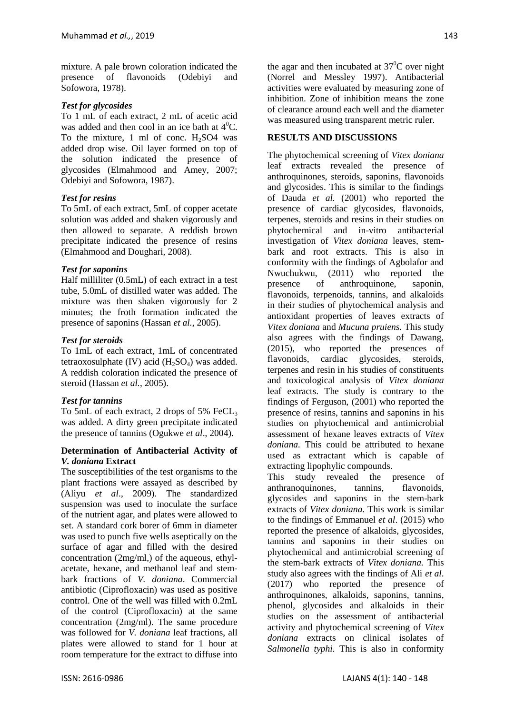mixture. A pale brown coloration indicated the presence of flavonoids (Odebiyi and Sofowora, 1978).

## *Test for glycosides*

To 1 mL of each extract, 2 mL of acetic acid was added and then cool in an ice bath at  $4^0C$ . To the mixture, 1 ml of conc.  $H_2SO4$  was added drop wise. Oil layer formed on top of the solution indicated the presence of glycosides (Elmahmood and Amey, 2007; Odebiyi and Sofowora, 1987).

## *Test for resins*

To 5mL of each extract, 5mL of copper acetate solution was added and shaken vigorously and then allowed to separate. A reddish brown precipitate indicated the presence of resins (Elmahmood and Doughari, 2008).

#### *Test for saponins*

Half milliliter (0.5mL) of each extract in a test tube, 5.0mL of distilled water was added. The mixture was then shaken vigorously for 2 minutes; the froth formation indicated the presence of saponins (Hassan *et al.*, 2005).

#### *Test for steroids*

To 1mL of each extract, 1mL of concentrated tetraoxosulphate (IV) acid  $(H_2SO_4)$  was added. A reddish coloration indicated the presence of steroid (Hassan *et al.*, 2005).

#### *Test for tannins*

To 5mL of each extract, 2 drops of 5%  $FeCL<sub>3</sub>$ was added. A dirty green precipitate indicated the presence of tannins (Ogukwe *et al*., 2004).

#### **Determination of Antibacterial Activity of**  *V. doniana* **Extract**

The susceptibilities of the test organisms to the plant fractions were assayed as described by (Aliyu *et al*., 2009). The standardized suspension was used to inoculate the surface of the nutrient agar, and plates were allowed to set. A standard cork borer of 6mm in diameter was used to punch five wells aseptically on the surface of agar and filled with the desired concentration (2mg/ml,) of the aqueous, ethylacetate, hexane, and methanol leaf and stembark fractions of *V. doniana*. Commercial antibiotic (Ciprofloxacin) was used as positive control. One of the well was filled with 0.2mL of the control (Ciprofloxacin) at the same concentration (2mg/ml). The same procedure was followed for *V. doniana* leaf fractions, all plates were allowed to stand for 1 hour at room temperature for the extract to diffuse into the agar and then incubated at  $37^{\circ}$ C over night (Norrel and Messley 1997). Antibacterial activities were evaluated by measuring zone of inhibition. Zone of inhibition means the zone of clearance around each well and the diameter was measured using transparent metric ruler.

#### **RESULTS AND DISCUSSIONS**

The phytochemical screening of *Vitex doniana*  leaf extracts revealed the presence of anthroquinones, steroids, saponins, flavonoids and glycosides. This is similar to the findings of Dauda *et al.* (2001) who reported the presence of cardiac glycosides, flavonoids, terpenes, steroids and resins in their studies on phytochemical and in-vitro antibacterial investigation of *Vitex doniana* leaves, stembark and root extracts. This is also in conformity with the findings of Agbolafor and Nwuchukwu, (2011) who reported the presence of anthroquinone, saponin, flavonoids, terpenoids, tannins, and alkaloids in their studies of phytochemical analysis and antioxidant properties of leaves extracts of *Vitex doniana* and *Mucuna pruiens.* This study also agrees with the findings of Dawang, (2015), who reported the presences of flavonoids, cardiac glycosides, steroids, terpenes and resin in his studies of constituents and toxicological analysis of *Vitex doniana* leaf extracts. The study is contrary to the findings of Ferguson, (2001) who reported the presence of resins, tannins and saponins in his studies on phytochemical and antimicrobial assessment of hexane leaves extracts of *Vitex doniana.* This could be attributed to hexane used as extractant which is capable of extracting lipophylic compounds.

This study revealed the presence of anthranoquinones, tannins, flavonoids, glycosides and saponins in the stem-bark extracts of *Vitex doniana.* This work is similar to the findings of Emmanuel *et al*. (2015) who reported the presence of alkaloids, glycosides, tannins and saponins in their studies on phytochemical and antimicrobial screening of the stem-bark extracts of *Vitex doniana.* This study also agrees with the findings of Ali *et al*. (2017) who reported the presence of anthroquinones, alkaloids, saponins, tannins, phenol, glycosides and alkaloids in their studies on the assessment of antibacterial activity and phytochemical screening of *Vitex doniana* extracts on clinical isolates of *Salmonella typhi.* This is also in conformity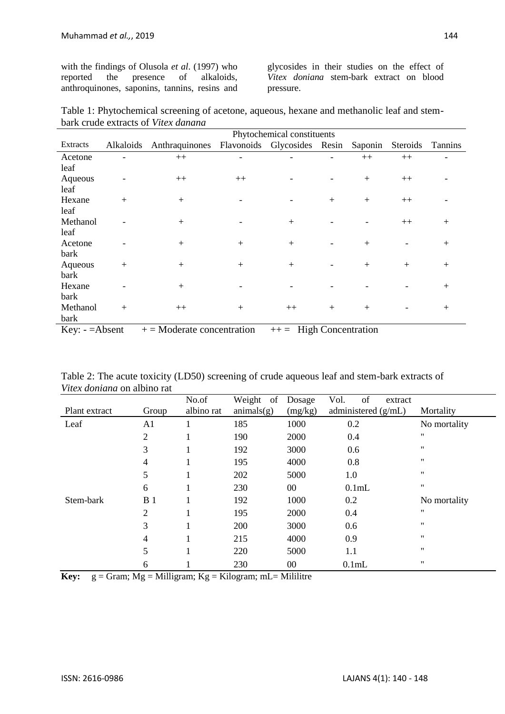with the findings of Olusola *et al*. (1997) who reported the presence of alkaloids, anthroquinones, saponins, tannins, resins and

glycosides in their studies on the effect of *Vitex doniana* stem-bark extract on blood pressure.

Table 1: Phytochemical screening of acetone, aqueous, hexane and methanolic leaf and stembark crude extracts of *Vitex danana*

|                |           | Phytochemical constituents                 |                          |      |     |         |          |                |  |  |  |
|----------------|-----------|--------------------------------------------|--------------------------|------|-----|---------|----------|----------------|--|--|--|
| Extracts       | Alkaloids | Anthraquinones Flavonoids Glycosides Resin |                          |      |     | Saponin | Steroids | <b>Tannins</b> |  |  |  |
| Acetone        |           | $++$                                       |                          |      |     | $++$    | $++$     |                |  |  |  |
| leaf           |           |                                            |                          |      |     |         |          |                |  |  |  |
| Aqueous        |           | $++$                                       | $++$                     |      |     | $+$     | $++$     |                |  |  |  |
| leaf           |           |                                            |                          |      |     |         |          |                |  |  |  |
| Hexane         | $+$       | $+$                                        |                          |      | $+$ | $+$     | $++$     |                |  |  |  |
| leaf           |           |                                            |                          |      |     |         |          |                |  |  |  |
| Methanol       |           | $+$                                        |                          | $+$  |     |         | $++$     | $+$            |  |  |  |
| leaf           |           |                                            |                          |      |     |         |          |                |  |  |  |
| Acetone        |           | $+$                                        | $+$                      | $+$  |     | $+$     |          | $+$            |  |  |  |
| bark           |           |                                            |                          |      |     |         |          |                |  |  |  |
| Aqueous        | $+$       | $^{+}$                                     | $+$                      | $+$  |     | $+$     | $+$      | $+$            |  |  |  |
| bark           |           |                                            |                          |      |     |         |          |                |  |  |  |
| Hexane         |           | $^{+}$                                     |                          |      |     |         |          | $+$            |  |  |  |
| bark           |           |                                            |                          |      |     |         |          |                |  |  |  |
| Methanol       | $+$       | $++$                                       | $+$                      | $++$ | $+$ | $+$     |          | $+$            |  |  |  |
| bark           |           |                                            |                          |      |     |         |          |                |  |  |  |
| $Key: -ABsent$ |           | $+=$ Moderate concentration                | $++=$ High Concentration |      |     |         |          |                |  |  |  |

| Table 2: The acute toxicity (LD50) screening of crude aqueous leaf and stem-bark extracts of |  |  |
|----------------------------------------------------------------------------------------------|--|--|
| <i>Vitex doniana</i> on albino rat                                                           |  |  |

| Plant extract | Group          | No.of<br>albino rat | Weight of<br>animals(g) | Dosage<br>(mg/kg) | of<br>Vol.<br>extract<br>administered $(g/mL)$ | Mortality    |  |
|---------------|----------------|---------------------|-------------------------|-------------------|------------------------------------------------|--------------|--|
| Leaf          | A <sub>1</sub> |                     | 185                     | 1000              | 0.2                                            | No mortality |  |
|               | $\overline{2}$ |                     | 190                     | 2000<br>0.4       |                                                | "            |  |
|               | 3              |                     | 192                     | 3000              | 0.6                                            |              |  |
|               | 4              |                     | 195                     | 4000              | 0.8                                            | "            |  |
|               | 5              |                     | 202<br>5000<br>1.0      |                   | 11                                             |              |  |
|               | 6              |                     | 230                     | $00\,$            | 0.1mL                                          | "            |  |
| Stem-bark     | B <sub>1</sub> |                     | 192                     | 1000              | 0.2                                            | No mortality |  |
|               | $\overline{2}$ |                     | 195                     | 2000              | 0.4                                            | "            |  |
|               | 3              |                     | 200                     | 3000              | 0.6                                            | "            |  |
|               | 4              |                     | 215                     | 4000              | 0.9                                            | "            |  |
|               | 5              |                     | 220                     | 5000              | 1.1                                            | "            |  |
|               | 6              |                     | 230                     | $00\,$            | 0.1 <sub>mL</sub>                              | 11           |  |

**Key:**  $g = \text{Gram}$ ;  $Mg = \text{Milligram}$ ;  $Kg = \text{Kilogram}$ ;  $mL = \text{Millitter}$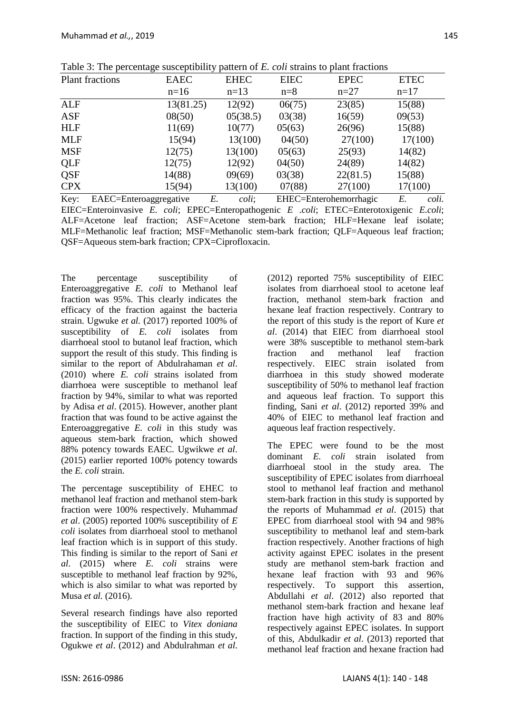|            |                        |             | . . |             |                        |             |             |       |
|------------|------------------------|-------------|-----|-------------|------------------------|-------------|-------------|-------|
|            | <b>Plant fractions</b> | <b>EAEC</b> |     | <b>EHEC</b> | <b>EIEC</b>            | <b>EPEC</b> | <b>ETEC</b> |       |
|            |                        | $n=16$      |     | $n=13$      | $n=8$                  | $n=27$      | $n=17$      |       |
| <b>ALF</b> |                        | 13(81.25)   |     | 12(92)      | 06(75)                 | 23(85)      | 15(88)      |       |
| <b>ASF</b> |                        | 08(50)      |     | 05(38.5)    | 03(38)                 | 16(59)      | 09(53)      |       |
| <b>HLF</b> |                        | 11(69)      |     | 10(77)      | 05(63)<br>26(96)       |             | 15(88)      |       |
| <b>MLF</b> |                        | 15(94)      |     | 13(100)     | 04(50)                 | 27(100)     | 17(100)     |       |
| <b>MSF</b> |                        | 12(75)      |     | 13(100)     | 05(63)                 | 25(93)      | 14(82)      |       |
| QLF        |                        | 12(75)      |     | 12(92)      | 04(50)                 | 24(89)      | 14(82)      |       |
| QSF        |                        | 14(88)      |     | 09(69)      | 03(38)                 | 22(81.5)    | 15(88)      |       |
| <b>CPX</b> |                        | 15(94)      |     | 13(100)     | 07(88)                 | 27(100)     | 17(100)     |       |
| Key:       | EAEC=Enteroaggregative |             | Е.  | coli;       | EHEC=Enterohemorrhagic |             | E.          | coli. |

Table 3: The percentage susceptibility pattern of *E. coli* strains to plant fractions

EIEC=Enteroinvasive *E. coli*; EPEC=Enteropathogenic *E .coli*; ETEC=Enterotoxigenic *E.coli*; ALF=Acetone leaf fraction; ASF=Acetone stem-bark fraction; HLF=Hexane leaf isolate; MLF=Methanolic leaf fraction; MSF=Methanolic stem-bark fraction; QLF=Aqueous leaf fraction; QSF=Aqueous stem-bark fraction; CPX=Ciprofloxacin.

The percentage susceptibility of Enteroaggregative *E. coli* to Methanol leaf fraction was 95%. This clearly indicates the efficacy of the fraction against the bacteria strain. Ugwuke *et al.* (2017) reported 100% of susceptibility of *E. coli* isolates from diarrhoeal stool to butanol leaf fraction, which support the result of this study. This finding is similar to the report of Abdulrahaman *et al*. (2010) where *E. coli* strains isolated from diarrhoea were susceptible to methanol leaf fraction by 94%, similar to what was reported by Adisa *et al*. (2015). However, another plant fraction that was found to be active against the Enteroaggregative *E. coli* in this study was aqueous stem-bark fraction, which showed 88% potency towards EAEC. Ugwikwe *et al*. (2015) earlier reported 100% potency towards the *E. coli* strain.

The percentage susceptibility of EHEC to methanol leaf fraction and methanol stem-bark fraction were 100% respectively. Muhamma*d et al*. (2005) reported 100% susceptibility of *E coli* isolates from diarrhoeal stool to methanol leaf fraction which is in support of this study. This finding is similar to the report of Sani *et al*. (2015) where *E. coli* strains were susceptible to methanol leaf fraction by 92%, which is also similar to what was reported by Musa *et al.* (2016).

Several research findings have also reported the susceptibility of EIEC to *Vitex doniana* fraction. In support of the finding in this study, Ogukwe *et al*. (2012) and Abdulrahman *et al*. (2012) reported 75% susceptibility of EIEC isolates from diarrhoeal stool to acetone leaf fraction, methanol stem-bark fraction and hexane leaf fraction respectively. Contrary to the report of this study is the report of Kure *et al*. (2014) that EIEC from diarrhoeal stool were 38% susceptible to methanol stem-bark fraction and methanol leaf fraction respectively. EIEC strain isolated from diarrhoea in this study showed moderate susceptibility of 50% to methanol leaf fraction and aqueous leaf fraction. To support this finding, Sani *et al*. (2012) reported 39% and 40% of EIEC to methanol leaf fraction and aqueous leaf fraction respectively.

The EPEC were found to be the most dominant *E. coli* strain isolated from diarrhoeal stool in the study area. The susceptibility of EPEC isolates from diarrhoeal stool to methanol leaf fraction and methanol stem-bark fraction in this study is supported by the reports of Muhammad *et al*. (2015) that EPEC from diarrhoeal stool with 94 and 98% susceptibility to methanol leaf and stem-bark fraction respectively. Another fractions of high activity against EPEC isolates in the present study are methanol stem-bark fraction and hexane leaf fraction with 93 and 96% respectively. To support this assertion, Abdullahi *et al*. (2012) also reported that methanol stem-bark fraction and hexane leaf fraction have high activity of 83 and 80% respectively against EPEC isolates. In support of this, Abdulkadir *et al*. (2013) reported that methanol leaf fraction and hexane fraction had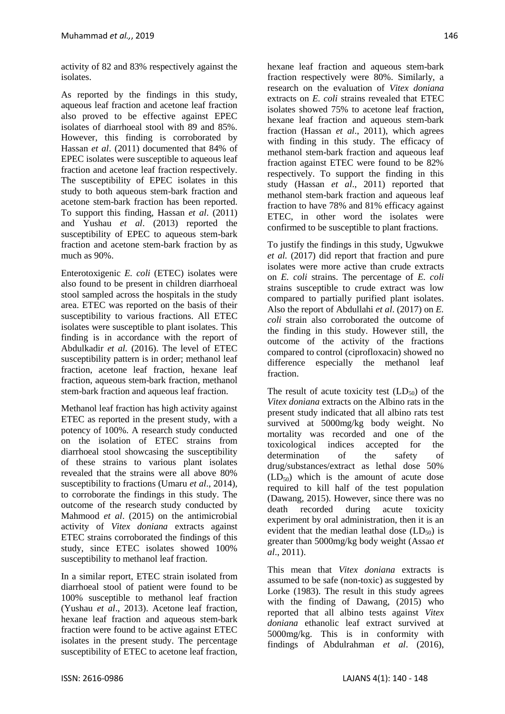activity of 82 and 83% respectively against the isolates.

As reported by the findings in this study, aqueous leaf fraction and acetone leaf fraction also proved to be effective against EPEC isolates of diarrhoeal stool with 89 and 85%. However, this finding is corroborated by Hassan *et al*. (2011) documented that 84% of EPEC isolates were susceptible to aqueous leaf fraction and acetone leaf fraction respectively. The susceptibility of EPEC isolates in this study to both aqueous stem-bark fraction and acetone stem-bark fraction has been reported. To support this finding, Hassan *et al*. (2011) and Yushau *et al*. (2013) reported the susceptibility of EPEC to aqueous stem-bark fraction and acetone stem-bark fraction by as much as 90%.

Enterotoxigenic *E. coli* (ETEC) isolates were also found to be present in children diarrhoeal stool sampled across the hospitals in the study area. ETEC was reported on the basis of their susceptibility to various fractions. All ETEC isolates were susceptible to plant isolates. This finding is in accordance with the report of Abdulkadir *et al.* (2016). The level of ETEC susceptibility pattern is in order; methanol leaf fraction, acetone leaf fraction, hexane leaf fraction, aqueous stem-bark fraction, methanol stem-bark fraction and aqueous leaf fraction.

Methanol leaf fraction has high activity against ETEC as reported in the present study, with a potency of 100%. A research study conducted on the isolation of ETEC strains from diarrhoeal stool showcasing the susceptibility of these strains to various plant isolates revealed that the strains were all above 80% susceptibility to fractions (Umaru *et al*., 2014), to corroborate the findings in this study. The outcome of the research study conducted by Mahmood *et al*. (2015) on the antimicrobial activity of *Vitex doniana* extracts against ETEC strains corroborated the findings of this study, since ETEC isolates showed 100% susceptibility to methanol leaf fraction.

In a similar report, ETEC strain isolated from diarrhoeal stool of patient were found to be 100% susceptible to methanol leaf fraction (Yushau *et al*., 2013). Acetone leaf fraction, hexane leaf fraction and aqueous stem-bark fraction were found to be active against ETEC isolates in the present study. The percentage susceptibility of ETEC to acetone leaf fraction, hexane leaf fraction and aqueous stem-bark fraction respectively were 80%. Similarly, a research on the evaluation of *Vitex doniana* extracts on *E. coli* strains revealed that ETEC isolates showed 75% to acetone leaf fraction, hexane leaf fraction and aqueous stem-bark fraction (Hassan *et al*., 2011), which agrees with finding in this study. The efficacy of methanol stem-bark fraction and aqueous leaf fraction against ETEC were found to be 82% respectively. To support the finding in this study (Hassan *et al*., 2011) reported that methanol stem-bark fraction and aqueous leaf fraction to have 78% and 81% efficacy against ETEC, in other word the isolates were confirmed to be susceptible to plant fractions.

To justify the findings in this study, Ugwukwe *et al.* (2017) did report that fraction and pure isolates were more active than crude extracts on *E. coli* strains. The percentage of *E. coli* strains susceptible to crude extract was low compared to partially purified plant isolates. Also the report of Abdullahi *et al*. (2017) on *E. coli* strain also corroborated the outcome of the finding in this study. However still, the outcome of the activity of the fractions compared to control (ciprofloxacin) showed no difference especially the methanol leaf fraction.

The result of acute toxicity test  $(LD_{50})$  of the *Vitex doniana* extracts on the Albino rats in the present study indicated that all albino rats test survived at 5000mg/kg body weight. No mortality was recorded and one of the toxicological indices accepted for the determination of the safety of drug/substances/extract as lethal dose 50%  $(LD_{50})$  which is the amount of acute dose required to kill half of the test population (Dawang, 2015). However, since there was no death recorded during acute toxicity experiment by oral administration, then it is an evident that the median leathal dose  $(LD_{50})$  is greater than 5000mg/kg body weight (Assao *et al*., 2011).

This mean that *Vitex doniana* extracts is assumed to be safe (non-toxic) as suggested by Lorke (1983). The result in this study agrees with the finding of Dawang, (2015) who reported that all albino tests against *Vitex doniana* ethanolic leaf extract survived at 5000mg/kg. This is in conformity with findings of Abdulrahman *et al*. (2016),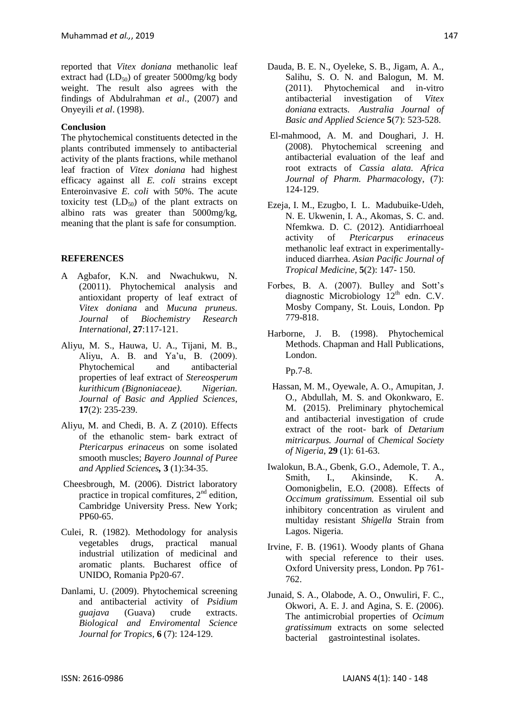reported that *Vitex doniana* methanolic leaf extract had  $(LD_{50})$  of greater 5000mg/kg body weight. The result also agrees with the findings of Abdulrahman *et al*., (2007) and Onyeyili *et al*. (1998).

## **Conclusion**

The phytochemical constituents detected in the plants contributed immensely to antibacterial activity of the plants fractions, while methanol leaf fraction of *Vitex doniana* had highest efficacy against all *E. coli* strains except Enteroinvasive *E. coli* with 50%. The acute toxicity test  $(LD_{50})$  of the plant extracts on albino rats was greater than 5000mg/kg, meaning that the plant is safe for consumption.

## **REFERENCES**

- A Agbafor, K.N. and Nwachukwu, N. (20011). Phytochemical analysis and antioxidant property of leaf extract of *Vitex doniana* and *Mucuna pruneus. Journal* of *Biochemistry Research International,* **27**:117-121.
- Aliyu, M. S., Hauwa, U. A., Tijani, M. B., Aliyu, A. B. and Ya'u, B. (2009). Phytochemical and antibacterial properties of leaf extract of *Stereosperum kurithicum (Bignoniaceae). Nigerian. Journal of Basic and Applied Sciences*, **17**(2): 235-239.
- Aliyu, M. and Chedi, B. A. Z (2010). Effects of the ethanolic stem- bark extract of *Ptericarpus erinaceus* on some isolated smooth muscles; *Bayero Jounnal of Puree and Applied Sciences,* **3** (1):34-35.
- Cheesbrough, M. (2006). District laboratory practice in tropical comfitures,  $2<sup>nd</sup>$  edition, Cambridge University Press. New York; PP60-65.
- Culei, R. (1982). Methodology for analysis vegetables drugs, practical manual industrial utilization of medicinal and aromatic plants. Bucharest office of UNIDO, Romania Pp20-67.
- Danlami, U. (2009). Phytochemical screening and antibacterial activity of *Psidium guajava* (Guava) crude extracts. *Biological and Enviromental Science Journal for Tropics,* **6** (7): 124-129.
- Dauda, B. E. N., Oyeleke, S. B., Jigam, A. A., Salihu, S. O. N. and Balogun, M. M. (2011). Phytochemical and in-vitro antibacterial investigation of *Vitex doniana* extracts. *Australia Journal of Basic and Applied Science* **5**(7): 523-528.
- El-mahmood, A. M. and Doughari, J. H. (2008). Phytochemical screening and antibacterial evaluation of the leaf and root extracts of *Cassia alata. Africa Journal of Pharm. Pharmacol*ogy, (7): 124-129.
- Ezeja, I. M., Ezugbo, I. L. Madubuike-Udeh, N. E. Ukwenin, I. A., Akomas, S. C. and. Nfemkwa. D. C. (2012). Antidiarrhoeal activity of *Ptericarpus erinaceus*  methanolic leaf extract in experimentallyinduced diarrhea. *Asian Pacific Journal of Tropical Medicine,* **5**(2): 147- 150.
- Forbes, B. A. (2007). Bulley and Sott's diagnostic Microbiology  $12<sup>th</sup>$  edn. C.V. Mosby Company, St. Louis, London. Pp 779-818.
- Harborne, J. B. (1998). Phytochemical Methods. Chapman and Hall Publications, London.

Pp.7-8.

- Hassan, M. M., Oyewale, A. O., Amupitan, J. O., Abdullah, M. S. and Okonkwaro, E. M. (2015). Preliminary phytochemical and antibacterial investigation of crude extract of the root- bark of *Detarium mitricarpus. Journal* of *Chemical Society of Nigeria*, **29** (1): 61-63.
- Iwalokun, B.A., Gbenk, G.O., Ademole, T. A., Smith, I., Akinsinde, K. A. Oomonigbelin, E.O. (2008). Effects of *Occimum gratissimum.* Essential oil sub inhibitory concentration as virulent and multiday resistant *Shigella* Strain from Lagos. Nigeria.
- Irvine, F. B. (1961). Woody plants of Ghana with special reference to their uses. Oxford University press, London. Pp 761- 762.
- Junaid, S. A., Olabode, A. O., Onwuliri, F. C., Okwori, A. E. J. and Agina, S. E. (2006). The antimicrobial properties of *Ocimum gratissimum* extracts on some selected bacterial gastrointestinal isolates.